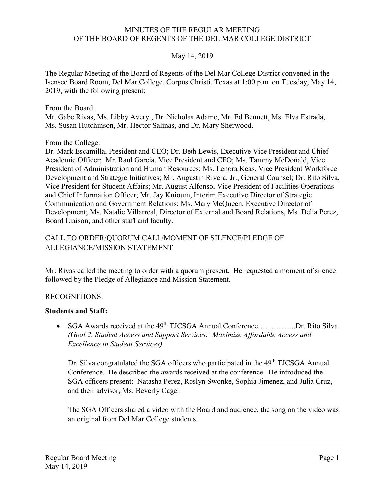#### MINUTES OF THE REGULAR MEETING OF THE BOARD OF REGENTS OF THE DEL MAR COLLEGE DISTRICT

### May 14, 2019

The Regular Meeting of the Board of Regents of the Del Mar College District convened in the Isensee Board Room, Del Mar College, Corpus Christi, Texas at 1:00 p.m. on Tuesday, May 14, 2019, with the following present:

From the Board: Mr. Gabe Rivas, Ms. Libby Averyt, Dr. Nicholas Adame, Mr. Ed Bennett, Ms. Elva Estrada, Ms. Susan Hutchinson, Mr. Hector Salinas, and Dr. Mary Sherwood.

From the College:

Dr. Mark Escamilla, President and CEO; Dr. Beth Lewis, Executive Vice President and Chief Academic Officer; Mr. Raul Garcia, Vice President and CFO; Ms. Tammy McDonald, Vice President of Administration and Human Resources; Ms. Lenora Keas, Vice President Workforce Development and Strategic Initiatives; Mr. Augustin Rivera, Jr., General Counsel; Dr. Rito Silva, Vice President for Student Affairs; Mr. August Alfonso, Vice President of Facilities Operations and Chief Information Officer; Mr. Jay Knioum, Interim Executive Director of Strategic Communication and Government Relations; Ms. Mary McQueen, Executive Director of Development; Ms. Natalie Villarreal, Director of External and Board Relations, Ms. Delia Perez, Board Liaison; and other staff and faculty.

### CALL TO ORDER/QUORUM CALL/MOMENT OF SILENCE/PLEDGE OF ALLEGIANCE/MISSION STATEMENT

Mr. Rivas called the meeting to order with a quorum present. He requested a moment of silence followed by the Pledge of Allegiance and Mission Statement.

### RECOGNITIONS:

### **Students and Staff:**

• SGA Awards received at the 49<sup>th</sup> TJCSGA Annual Conference…............Dr. Rito Silva *(Goal 2. Student Access and Support Services: Maximize Affordable Access and Excellence in Student Services)*

Dr. Silva congratulated the SGA officers who participated in the 49<sup>th</sup> TJCSGA Annual Conference. He described the awards received at the conference. He introduced the SGA officers present: Natasha Perez, Roslyn Swonke, Sophia Jimenez, and Julia Cruz, and their advisor, Ms. Beverly Cage.

The SGA Officers shared a video with the Board and audience, the song on the video was an original from Del Mar College students.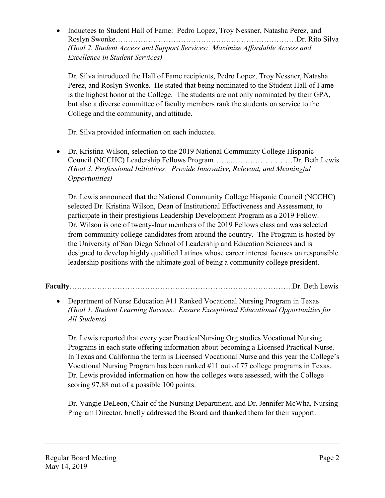• Inductees to Student Hall of Fame: Pedro Lopez, Troy Nessner, Natasha Perez, and Roslyn Swonke………………………………………………………………Dr. Rito Silva *(Goal 2. Student Access and Support Services: Maximize Affordable Access and Excellence in Student Services)*

Dr. Silva introduced the Hall of Fame recipients, Pedro Lopez, Troy Nessner, Natasha Perez, and Roslyn Swonke. He stated that being nominated to the Student Hall of Fame is the highest honor at the College. The students are not only nominated by their GPA, but also a diverse committee of faculty members rank the students on service to the College and the community, and attitude.

Dr. Silva provided information on each inductee.

• Dr. Kristina Wilson, selection to the 2019 National Community College Hispanic Council (NCCHC) Leadership Fellows Program……..……………………Dr. Beth Lewis *(Goal 3. Professional Initiatives: Provide Innovative, Relevant, and Meaningful Opportunities)*

Dr. Lewis announced that the National Community College Hispanic Council (NCCHC) selected Dr. Kristina Wilson, Dean of Institutional Effectiveness and Assessment, to participate in their prestigious Leadership Development Program as a 2019 Fellow. Dr. Wilson is one of twenty-four members of the 2019 Fellows class and was selected from community college candidates from around the country. The Program is hosted by the University of San Diego School of Leadership and Education Sciences and is designed to develop highly qualified Latinos whose career interest focuses on responsible leadership positions with the ultimate goal of being a community college president.

**Faculty**……………………………………………………………………………..Dr. Beth Lewis

• Department of Nurse Education #11 Ranked Vocational Nursing Program in Texas *(Goal 1. Student Learning Success: Ensure Exceptional Educational Opportunities for All Students)*

Dr. Lewis reported that every year PracticalNursing.Org studies Vocational Nursing Programs in each state offering information about becoming a Licensed Practical Nurse. In Texas and California the term is Licensed Vocational Nurse and this year the College's Vocational Nursing Program has been ranked #11 out of 77 college programs in Texas. Dr. Lewis provided information on how the colleges were assessed, with the College scoring 97.88 out of a possible 100 points.

Dr. Vangie DeLeon, Chair of the Nursing Department, and Dr. Jennifer McWha, Nursing Program Director, briefly addressed the Board and thanked them for their support.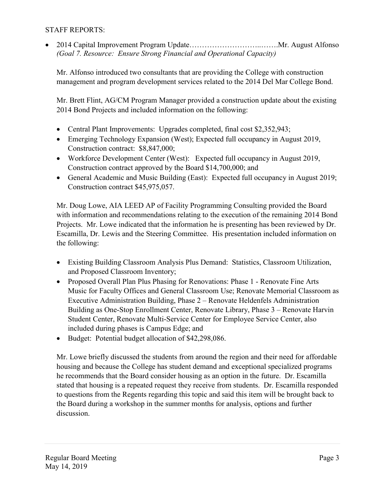#### STAFF REPORTS:

• 2014 Capital Improvement Program Update………………………..…….Mr. August Alfonso *(Goal 7. Resource: Ensure Strong Financial and Operational Capacity)*

Mr. Alfonso introduced two consultants that are providing the College with construction management and program development services related to the 2014 Del Mar College Bond.

Mr. Brett Flint, AG/CM Program Manager provided a construction update about the existing 2014 Bond Projects and included information on the following:

- Central Plant Improvements: Upgrades completed, final cost \$2,352,943;
- Emerging Technology Expansion (West); Expected full occupancy in August 2019, Construction contract: \$8,847,000;
- Workforce Development Center (West): Expected full occupancy in August 2019, Construction contract approved by the Board \$14,700,000; and
- General Academic and Music Building (East): Expected full occupancy in August 2019; Construction contract \$45,975,057.

Mr. Doug Lowe, AIA LEED AP of Facility Programming Consulting provided the Board with information and recommendations relating to the execution of the remaining 2014 Bond Projects. Mr. Lowe indicated that the information he is presenting has been reviewed by Dr. Escamilla, Dr. Lewis and the Steering Committee. His presentation included information on the following:

- Existing Building Classroom Analysis Plus Demand: Statistics, Classroom Utilization, and Proposed Classroom Inventory;
- Proposed Overall Plan Plus Phasing for Renovations: Phase 1 Renovate Fine Arts Music for Faculty Offices and General Classroom Use; Renovate Memorial Classroom as Executive Administration Building, Phase 2 – Renovate Heldenfels Administration Building as One-Stop Enrollment Center, Renovate Library, Phase 3 – Renovate Harvin Student Center, Renovate Multi-Service Center for Employee Service Center, also included during phases is Campus Edge; and
- Budget: Potential budget allocation of \$42,298,086.

Mr. Lowe briefly discussed the students from around the region and their need for affordable housing and because the College has student demand and exceptional specialized programs he recommends that the Board consider housing as an option in the future. Dr. Escamilla stated that housing is a repeated request they receive from students. Dr. Escamilla responded to questions from the Regents regarding this topic and said this item will be brought back to the Board during a workshop in the summer months for analysis, options and further discussion.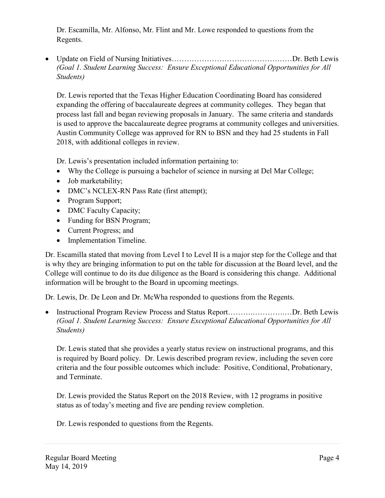Dr. Escamilla, Mr. Alfonso, Mr. Flint and Mr. Lowe responded to questions from the Regents.

• Update on Field of Nursing Initiatives…………………………………………Dr. Beth Lewis *(Goal 1. Student Learning Success: Ensure Exceptional Educational Opportunities for All Students)*

Dr. Lewis reported that the Texas Higher Education Coordinating Board has considered expanding the offering of baccalaureate degrees at community colleges. They began that process last fall and began reviewing proposals in January. The same criteria and standards is used to approve the baccalaureate degree programs at community colleges and universities. Austin Community College was approved for RN to BSN and they had 25 students in Fall 2018, with additional colleges in review.

Dr. Lewis's presentation included information pertaining to:

- Why the College is pursuing a bachelor of science in nursing at Del Mar College;
- Job marketability;
- DMC's NCLEX-RN Pass Rate (first attempt);
- Program Support;
- DMC Faculty Capacity;
- Funding for BSN Program;
- Current Progress; and
- Implementation Timeline.

Dr. Escamilla stated that moving from Level I to Level II is a major step for the College and that is why they are bringing information to put on the table for discussion at the Board level, and the College will continue to do its due diligence as the Board is considering this change. Additional information will be brought to the Board in upcoming meetings.

Dr. Lewis, Dr. De Leon and Dr. McWha responded to questions from the Regents.

• Instructional Program Review Process and Status Report……….………….…Dr. Beth Lewis *(Goal 1. Student Learning Success: Ensure Exceptional Educational Opportunities for All Students)*

Dr. Lewis stated that she provides a yearly status review on instructional programs, and this is required by Board policy. Dr. Lewis described program review, including the seven core criteria and the four possible outcomes which include: Positive, Conditional, Probationary, and Terminate.

Dr. Lewis provided the Status Report on the 2018 Review, with 12 programs in positive status as of today's meeting and five are pending review completion.

Dr. Lewis responded to questions from the Regents.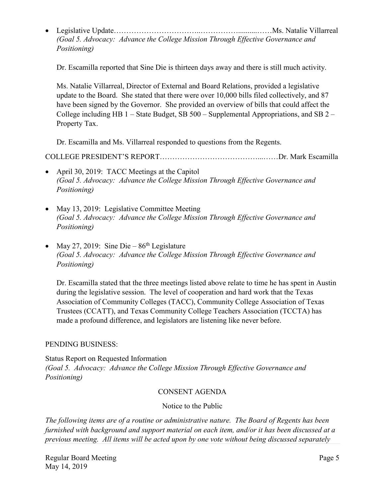• Legislative Update……………………………..……………..........……Ms. Natalie Villarreal *(Goal 5. Advocacy: Advance the College Mission Through Effective Governance and Positioning)*

Dr. Escamilla reported that Sine Die is thirteen days away and there is still much activity.

Ms. Natalie Villarreal, Director of External and Board Relations, provided a legislative update to the Board. She stated that there were over 10,000 bills filed collectively, and 87 have been signed by the Governor. She provided an overview of bills that could affect the College including HB  $1 -$  State Budget, SB  $500 -$  Supplemental Appropriations, and SB  $2 -$ Property Tax.

Dr. Escamilla and Ms. Villarreal responded to questions from the Regents.

COLLEGE PRESIDENT'S REPORT…………………………………...……Dr. Mark Escamilla

- April 30, 2019: TACC Meetings at the Capitol *(Goal 5. Advocacy: Advance the College Mission Through Effective Governance and Positioning)*
- May 13, 2019: Legislative Committee Meeting *(Goal 5. Advocacy: Advance the College Mission Through Effective Governance and Positioning)*
- May 27, 2019: Sine Die  $86<sup>th</sup>$  Legislature *(Goal 5. Advocacy: Advance the College Mission Through Effective Governance and Positioning)*

Dr. Escamilla stated that the three meetings listed above relate to time he has spent in Austin during the legislative session. The level of cooperation and hard work that the Texas Association of Community Colleges (TACC), Community College Association of Texas Trustees (CCATT), and Texas Community College Teachers Association (TCCTA) has made a profound difference, and legislators are listening like never before.

# PENDING BUSINESS:

Status Report on Requested Information *(Goal 5. Advocacy: Advance the College Mission Through Effective Governance and Positioning)*

# CONSENT AGENDA

Notice to the Public

*The following items are of a routine or administrative nature. The Board of Regents has been furnished with background and support material on each item, and/or it has been discussed at a previous meeting. All items will be acted upon by one vote without being discussed separately*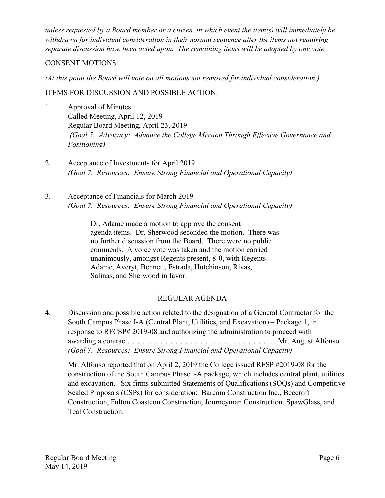*unless requested by a Board member or a citizen, in which event the item(s) will immediately be withdrawn for individual consideration in their normal sequence after the items not requiring separate discussion have been acted upon. The remaining items will be adopted by one vote.*

### CONSENT MOTIONS:

*(At this point the Board will vote on all motions not removed for individual consideration.)* 

# ITEMS FOR DISCUSSION AND POSSIBLE ACTION:

- 1. Approval of Minutes: Called Meeting, April 12, 2019 Regular Board Meeting, April 23, 2019 *(Goal 5. Advocacy: Advance the College Mission Through Effective Governance and Positioning)*
- 2. Acceptance of Investments for April 2019 *(Goal 7. Resources: Ensure Strong Financial and Operational Capacity)*
- 3. Acceptance of Financials for March 2019 *(Goal 7. Resources: Ensure Strong Financial and Operational Capacity)*

Dr. Adame made a motion to approve the consent agenda items. Dr. Sherwood seconded the motion. There was no further discussion from the Board. There were no public comments. A voice vote was taken and the motion carried unanimously, amongst Regents present, 8-0, with Regents Adame, Averyt, Bennett, Estrada, Hutchinson, Rivas, Salinas, and Sherwood in favor.

# REGULAR AGENDA

4. Discussion and possible action related to the designation of a General Contractor for the South Campus Phase I-A (Central Plant, Utilities, and Excavation) – Package 1, in response to RFCSP# 2019-08 and authorizing the administration to proceed with awarding a contract……………………………..……..………………Mr. August Alfonso *(Goal 7. Resources: Ensure Strong Financial and Operational Capacity)*

Mr. Alfonso reported that on April 2, 2019 the College issued RFSP #2019-08 for the construction of the South Campus Phase I-A package, which includes central plant, utilities and excavation. Six firms submitted Statements of Qualifications (SOQs) and Competitive Sealed Proposals (CSPs) for consideration: Barcom Construction Inc., Beecroft Construction, Fulton Coastcon Construction, Journeyman Construction, SpawGlass, and Teal Construction.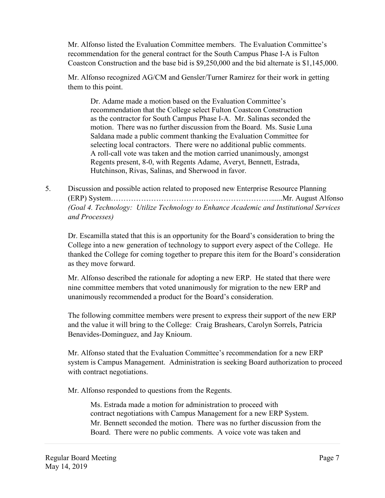Mr. Alfonso listed the Evaluation Committee members. The Evaluation Committee's recommendation for the general contract for the South Campus Phase I-A is Fulton Coastcon Construction and the base bid is \$9,250,000 and the bid alternate is \$1,145,000.

Mr. Alfonso recognized AG/CM and Gensler/Turner Ramirez for their work in getting them to this point.

Dr. Adame made a motion based on the Evaluation Committee's recommendation that the College select Fulton Coastcon Construction as the contractor for South Campus Phase I-A. Mr. Salinas seconded the motion. There was no further discussion from the Board. Ms. Susie Luna Saldana made a public comment thanking the Evaluation Committee for selecting local contractors. There were no additional public comments. A roll-call vote was taken and the motion carried unanimously, amongst Regents present, 8-0, with Regents Adame, Averyt, Bennett, Estrada, Hutchinson, Rivas, Salinas, and Sherwood in favor.

5. Discussion and possible action related to proposed new Enterprise Resource Planning (ERP) System……………………………….………………………......Mr. August Alfonso *(Goal 4. Technology: Utilize Technology to Enhance Academic and Institutional Services and Processes)*

Dr. Escamilla stated that this is an opportunity for the Board's consideration to bring the College into a new generation of technology to support every aspect of the College. He thanked the College for coming together to prepare this item for the Board's consideration as they move forward.

Mr. Alfonso described the rationale for adopting a new ERP. He stated that there were nine committee members that voted unanimously for migration to the new ERP and unanimously recommended a product for the Board's consideration.

The following committee members were present to express their support of the new ERP and the value it will bring to the College: Craig Brashears, Carolyn Sorrels, Patricia Benavides-Dominguez, and Jay Knioum.

Mr. Alfonso stated that the Evaluation Committee's recommendation for a new ERP system is Campus Management. Administration is seeking Board authorization to proceed with contract negotiations.

Mr. Alfonso responded to questions from the Regents.

Ms. Estrada made a motion for administration to proceed with contract negotiations with Campus Management for a new ERP System. Mr. Bennett seconded the motion. There was no further discussion from the Board. There were no public comments. A voice vote was taken and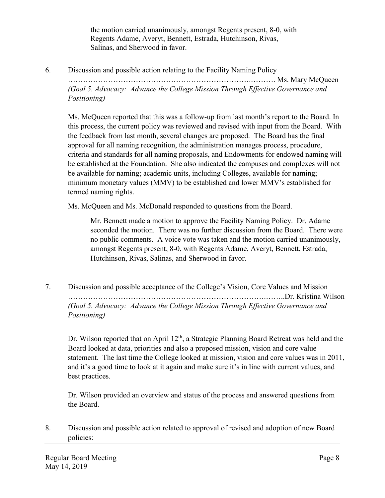the motion carried unanimously, amongst Regents present, 8-0, with Regents Adame, Averyt, Bennett, Estrada, Hutchinson, Rivas, Salinas, and Sherwood in favor.

6. Discussion and possible action relating to the Facility Naming Policy

……………………………………………………………….………. Ms. Mary McQueen *(Goal 5. Advocacy: Advance the College Mission Through Effective Governance and Positioning)*

Ms. McQueen reported that this was a follow-up from last month's report to the Board. In this process, the current policy was reviewed and revised with input from the Board. With the feedback from last month, several changes are proposed. The Board has the final approval for all naming recognition, the administration manages process, procedure, criteria and standards for all naming proposals, and Endowments for endowed naming will be established at the Foundation. She also indicated the campuses and complexes will not be available for naming; academic units, including Colleges, available for naming; minimum monetary values (MMV) to be established and lower MMV's established for termed naming rights.

Ms. McQueen and Ms. McDonald responded to questions from the Board.

Mr. Bennett made a motion to approve the Facility Naming Policy. Dr. Adame seconded the motion. There was no further discussion from the Board. There were no public comments. A voice vote was taken and the motion carried unanimously, amongst Regents present, 8-0, with Regents Adame, Averyt, Bennett, Estrada, Hutchinson, Rivas, Salinas, and Sherwood in favor.

7. Discussion and possible acceptance of the College's Vision, Core Values and Mission …………………………………………………………………….……..Dr. Kristina Wilson *(Goal 5. Advocacy: Advance the College Mission Through Effective Governance and Positioning)*

Dr. Wilson reported that on April 12<sup>th</sup>, a Strategic Planning Board Retreat was held and the Board looked at data, priorities and also a proposed mission, vision and core value statement. The last time the College looked at mission, vision and core values was in 2011, and it's a good time to look at it again and make sure it's in line with current values, and best practices.

Dr. Wilson provided an overview and status of the process and answered questions from the Board.

8. Discussion and possible action related to approval of revised and adoption of new Board policies: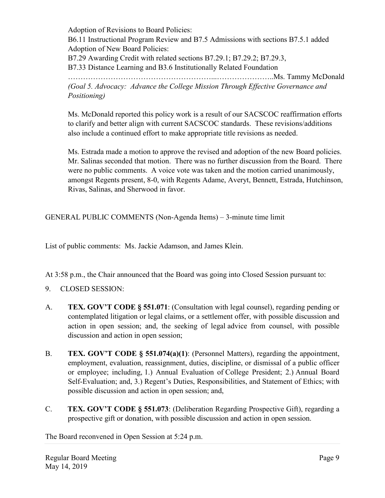Adoption of Revisions to Board Policies: B6.11 Instructional Program Review and B7.5 Admissions with sections B7.5.1 added Adoption of New Board Policies: B7.29 Awarding Credit with related sections B7.29.1; B7.29.2; B7.29.3, B7.33 Distance Learning and B3.6 Institutionally Related Foundation …………………………………………………...…………………..Ms. Tammy McDonald *(Goal 5. Advocacy: Advance the College Mission Through Effective Governance and Positioning)*

Ms. McDonald reported this policy work is a result of our SACSCOC reaffirmation efforts to clarify and better align with current SACSCOC standards. These revisions/additions also include a continued effort to make appropriate title revisions as needed.

Ms. Estrada made a motion to approve the revised and adoption of the new Board policies. Mr. Salinas seconded that motion. There was no further discussion from the Board. There were no public comments. A voice vote was taken and the motion carried unanimously, amongst Regents present, 8-0, with Regents Adame, Averyt, Bennett, Estrada, Hutchinson, Rivas, Salinas, and Sherwood in favor.

GENERAL PUBLIC COMMENTS (Non-Agenda Items) – 3-minute time limit

List of public comments: Ms. Jackie Adamson, and James Klein.

At 3:58 p.m., the Chair announced that the Board was going into Closed Session pursuant to:

- 9. CLOSED SESSION:
- A. **TEX. GOV'T CODE § 551.071**: (Consultation with legal counsel), regarding pending or contemplated litigation or legal claims, or a settlement offer, with possible discussion and action in open session; and, the seeking of legal advice from counsel, with possible discussion and action in open session;
- B. **TEX. GOV'T CODE § 551.074(a)(1)**: (Personnel Matters), regarding the appointment, employment, evaluation, reassignment, duties, discipline, or dismissal of a public officer or employee; including, 1.) Annual Evaluation of College President; 2.) Annual Board Self-Evaluation; and, 3.) Regent's Duties, Responsibilities, and Statement of Ethics; with possible discussion and action in open session; and,
- C. **TEX. GOV'T CODE § 551.073**: (Deliberation Regarding Prospective Gift), regarding a prospective gift or donation, with possible discussion and action in open session.

The Board reconvened in Open Session at 5:24 p.m.